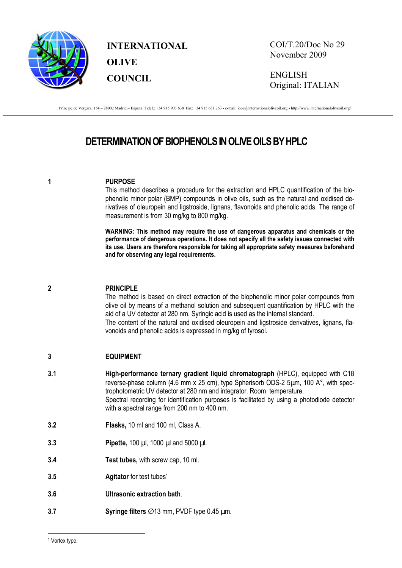

**INTERNATIONAL OLIVE COUNCIL**

COI/T.20/Doc No 29 November 2009

ENGLISH Original: ITALIAN

Príncipe de Vergara, 154 – 28002 Madrid – España Telef.: +34 915 903 638 Fax: +34 915 631 263 - e-mail: iooc@internationaloliveoil.org - http://www.internationaloliveoil.org/

# **DETERMINATION OF BIOPHENOLS IN OLIVE OILS BY HPLC**

#### **1 PURPOSE**

This method describes a procedure for the extraction and HPLC quantification of the biophenolic minor polar (BMP) compounds in olive oils, such as the natural and oxidised derivatives of oleuropein and ligstroside, lignans, flavonoids and phenolic acids. The range of measurement is from 30 mg/kg to 800 mg/kg.

**WARNING: This method may require the use of dangerous apparatus and chemicals or the performance of dangerous operations. It does not specify all the safety issues connected with its use. Users are therefore responsible for taking all appropriate safety measures beforehand and for observing any legal requirements.** 

#### **2 PRINCIPLE**

The method is based on direct extraction of the biophenolic minor polar compounds from olive oil by means of a methanol solution and subsequent quantification by HPLC with the aid of a UV detector at 280 nm. Syringic acid is used as the internal standard. The content of the natural and oxidised oleuropein and ligstroside derivatives, lignans, flavonoids and phenolic acids is expressed in mg/kg of tyrosol.

#### **3 EQUIPMENT**

- **3.1 High-performance ternary gradient liquid chromatograph** (HPLC), equipped with C18 reverse-phase column (4.6 mm x 25 cm), type Spherisorb ODS-2 5µm, 100 A°, with spectrophotometric UV detector at 280 nm and integrator. Room temperature. Spectral recording for identification purposes is facilitated by using a photodiode detector with a spectral range from 200 nm to 400 nm.
- **3.2 Flasks,** 10 ml and 100 ml, Class A.
- **3.3 Pipette, 100 µl, 1000 µl and 5000 µl.**
- **3.4 Test tubes,** with screw cap, 10 ml.
- **3.5 Agitator** for test tubes<sup>1</sup>
- **3.6 Ultrasonic extraction bath**.
- **3.7 Syringe filters** ∅13 mm, PVDF type 0.45 µm.

<sup>1</sup> Vortex type.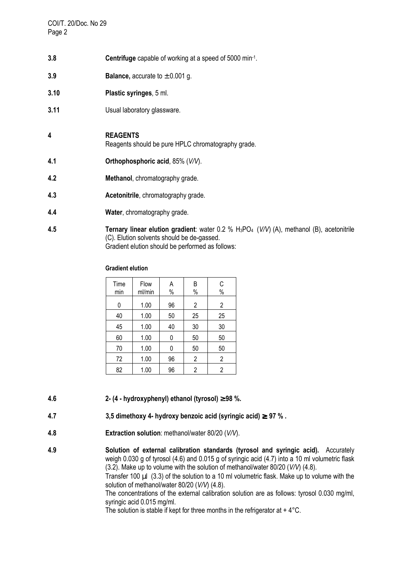COI/T. 20/Doc. No 29 Page 2

- **3.8 Centrifuge** capable of working at a speed of 5000 min-1 .
- **3.9 Balance**, accurate to  $\pm$  0.001 g.
- **3.10 Plastic syringes**, 5 ml.
- **3.11** Usual laboratory glassware.

#### **4 REAGENTS**

Reagents should be pure HPLC chromatography grade.

- **4.1 Orthophosphoric acid**, 85% (*V/V*).
- **4.2 Methanol**, chromatography grade.
- **4.3 Acetonitrile**, chromatography grade.
- **4.4 Water**, chromatography grade.
- **4.5** Ternary linear elution gradient: water 0.2 % H<sub>3</sub>PO<sub>4</sub> (*V/V*) (A), methanol (B), acetonitrile (C). Elution solvents should be de-gassed. Gradient elution should be performed as follows:

#### **Gradient elution**

| Time<br>min | Flow<br>ml/min | Α<br>$\%$ | B<br>$\%$      | C<br>$\%$      |
|-------------|----------------|-----------|----------------|----------------|
| 0           | 1.00           | 96        | 2              | $\overline{2}$ |
| 40          | 1.00           | 50        | 25             | 25             |
| 45          | 1.00           | 40        | 30             | 30             |
| 60          | 1.00           | 0         | 50             | 50             |
| 70          | 1.00           | 0         | 50             | 50             |
| 72          | 1.00           | 96        | $\overline{2}$ | $\overline{2}$ |
| 82          | 1.00           | 96        | 2              | $\overline{2}$ |

- **4.6 2- (4 hydroxyphenyl) ethanol (tyrosol)** ≥ **98 %.**
- **4.7 3,5 dimethoxy 4- hydroxy benzoic acid (syringic acid)** ≥ **97 % .**
- **4.8 Extraction solution**: methanol/water 80/20 (*V/V*).
- **4.9 Solution of external calibration standards (tyrosol and syringic acid).** Accurately weigh 0.030 g of tyrosol (4.6) and 0.015 g of syringic acid (4.7) into a 10 ml volumetric flask (3.2). Make up to volume with the solution of methanol/water 80/20 (*V/V*) (4.8). Transfer 100 µl (3.3) of the solution to a 10 ml volumetric flask. Make up to volume with the solution of methanol/water 80/20 (*V/V*) (4.8).

 The concentrations of the external calibration solution are as follows: tyrosol 0.030 mg/ml, syringic acid 0.015 mg/ml.

The solution is stable if kept for three months in the refrigerator at  $+4^{\circ}$ C.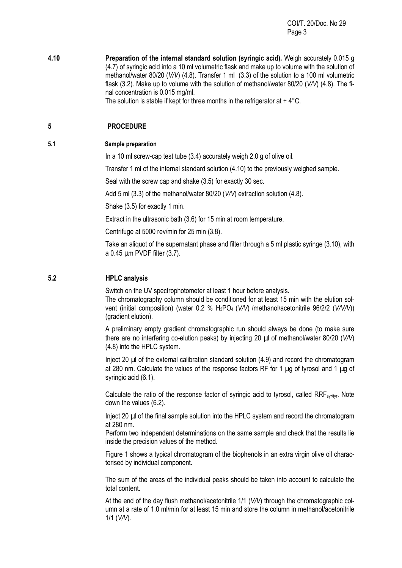COI/T. 20/Doc. No 29 Page 3

**4.10 Preparation of the internal standard solution (syringic acid).** Weigh accurately 0.015 g (4.7) of syringic acid into a 10 ml volumetric flask and make up to volume with the solution of methanol/water 80/20 (*V/V*) (4.8). Transfer 1 ml (3.3) of the solution to a 100 ml volumetric flask (3.2). Make up to volume with the solution of methanol/water 80/20 (*V/V*) (4.8). The final concentration is 0.015 mg/ml.

The solution is stable if kept for three months in the refrigerator at  $+4^{\circ}$ C.

## **5 PROCEDURE**

#### **5.1 Sample preparation**

In a 10 ml screw-cap test tube (3.4) accurately weigh 2.0 g of olive oil.

Transfer 1 ml of the internal standard solution (4.10) to the previously weighed sample.

Seal with the screw cap and shake (3.5) for exactly 30 sec.

Add 5 ml (3.3) of the methanol/water 80/20 (*V/V*) extraction solution (4.8).

Shake (3.5) for exactly 1 min.

Extract in the ultrasonic bath (3.6) for 15 min at room temperature.

Centrifuge at 5000 rev/min for 25 min (3.8).

Take an aliquot of the supernatant phase and filter through a 5 ml plastic syringe (3.10), with a 0.45 µm PVDF filter (3.7).

## **5.2 HPLC analysis**

Switch on the UV spectrophotometer at least 1 hour before analysis.

The chromatography column should be conditioned for at least 15 min with the elution solvent (initial composition) (water 0.2 % H3PO4 (*V/V*) /methanol/acetonitrile 96/2/2 (*V/V/V*)) (gradient elution).

A preliminary empty gradient chromatographic run should always be done (to make sure there are no interfering co-elution peaks) by injecting 20 µl of methanol/water 80/20 (*V/V*) (4.8) into the HPLC system.

Inject 20 µl of the external calibration standard solution (4.9) and record the chromatogram at 280 nm. Calculate the values of the response factors RF for 1 ug of tyrosol and 1 ug of syringic acid (6.1).

Calculate the ratio of the response factor of syringic acid to tyrosol, called RRF<sub>syr/tyr</sub>. Note down the values (6.2).

Inject 20  $\mu$  of the final sample solution into the HPLC system and record the chromatogram at 280 nm.

Perform two independent determinations on the same sample and check that the results lie inside the precision values of the method.

Figure 1 shows a typical chromatogram of the biophenols in an extra virgin olive oil characterised by individual component.

The sum of the areas of the individual peaks should be taken into account to calculate the total content.

At the end of the day flush methanol/acetonitrile 1/1 (*V/V*) through the chromatographic column at a rate of 1.0 ml/min for at least 15 min and store the column in methanol/acetonitrile 1/1 (*V/V*).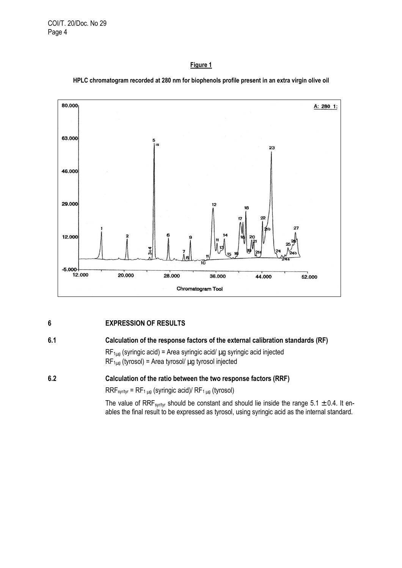COI/T. 20/Doc. No 29 Page 4

#### **Figure 1**



**HPLC chromatogram recorded at 280 nm for biophenols profile present in an extra virgin olive oil** 

## **6 EXPRESSION OF RESULTS**

## **6.1 Calculation of the response factors of the external calibration standards (RF)**

 $RF_{1\mu g}$  (syringic acid) = Area syringic acid/  $\mu g$  syringic acid injected  $RF_{1\mu g}$  (tyrosol) = Area tyrosol/  $\mu g$  tyrosol injected

## **6.2 Calculation of the ratio between the two response factors (RRF)**

 $RRF_{syr/tyr} = RF_{1\mu g}$  (syringic acid)/  $RF_{1\mu g}$  (tyrosol)

The value of RRF<sub>syr/tyr</sub> should be constant and should lie inside the range 5.1  $\pm$  0.4. It enables the final result to be expressed as tyrosol, using syringic acid as the internal standard.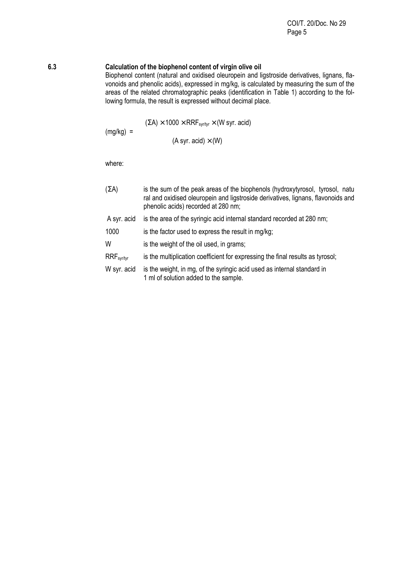#### **6.3 Calculation of the biophenol content of virgin olive oil**

Biophenol content (natural and oxidised oleuropein and ligstroside derivatives, lignans, flavonoids and phenolic acids), expressed in mg/kg, is calculated by measuring the sum of the areas of the related chromatographic peaks (identification in Table 1) according to the following formula, the result is expressed without decimal place.

 $(\Sigma A) \times 1000 \times RRF_{svt/tvr} \times (W syr. \text{ acid})$ 

$$
(A syr. acid) \times (W)
$$

where:

 $(mg/kg)$  =

- $(\Sigma A)$  is the sum of the peak areas of the biophenols (hydroxytyrosol, tyrosol, natu ral and oxidised oleuropein and ligstroside derivatives, lignans, flavonoids and phenolic acids) recorded at 280 nm;
- A syr. acid is the area of the syringic acid internal standard recorded at 280 nm;
- 1000 is the factor used to express the result in mg/kg;
- W is the weight of the oil used, in grams;
- RRF<sub>syr/tyr</sub> is the multiplication coefficient for expressing the final results as tyrosol;
- W syr. acid is the weight, in mg, of the syringic acid used as internal standard in 1 ml of solution added to the sample.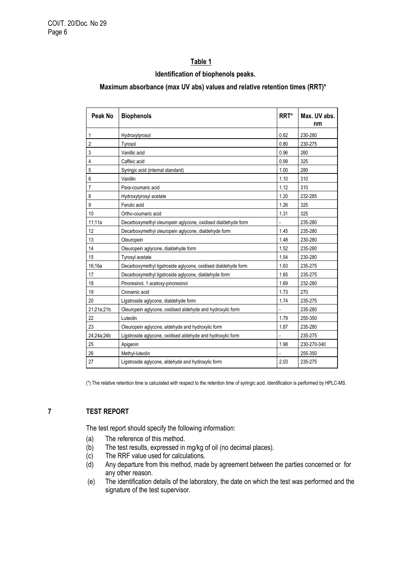## **Table 1**

#### **Identification of biophenols peaks.**

#### **Maximum absorbance (max UV abs) values and relative retention times (RRT)\***

| Peak No        | <b>Biophenols</b>                                              | RRT* | Max. UV abs.<br>nm |
|----------------|----------------------------------------------------------------|------|--------------------|
| $\mathbf{1}$   | Hydroxytyrosol                                                 | 0.62 | 230-280            |
| $\overline{2}$ | Tyrosol                                                        | 0.80 | 230-275            |
| 3              | Vanillic acid                                                  | 0.96 | 260                |
| $\overline{4}$ | Caffeic acid                                                   | 0.99 | 325                |
| 5              | Syringic acid (internal standard)                              | 1.00 | 280                |
| 6              | Vanillin                                                       | 1.10 | 310                |
| $\overline{7}$ | Para-coumaric acid                                             | 1.12 | 310                |
| 8              | Hydroxytyrosyl acetate                                         | 1.20 | 232-285            |
| 9              | Ferulic acid                                                   | 1.26 | 325                |
| 10             | Ortho-coumaric acid                                            | 1.31 | 325                |
| 11;11a         | Decarboxymethyl oleuropein aglycone, oxidised dialdehyde form  |      | 235-280            |
| 12             | Decarboxymethyl oleuropein aglycone, dialdehyde form           | 1.45 | 235-280            |
| 13             | Oleuropein                                                     | 1.48 | 230-280            |
| 14             | Oleuropein aglycone, dialdehyde form                           | 1.52 | 235-280            |
| 15             | <b>Tyrosyl acetate</b>                                         | 1.54 | 230-280            |
| 16:16a         | Decarboxymethyl ligstroside aglycone, oxidised dialdehyde form | 1.63 | 235-275            |
| 17             | Decarboxymethyl ligstroside aglycone, dialdehyde form          | 1.65 | 235-275            |
| 18             | Pinoresinol, 1 acetoxy-pinoresinol                             | 1.69 | 232-280            |
| 19             | Cinnamic acid                                                  | 1.73 | 270                |
| 20             | Ligstroside aglycone, dialdehyde form                          | 1.74 | 235-275            |
| 21;21a;21b     | Oleuropein aglycone, oxidised aldehyde and hydroxylic form     |      | 235-280            |
| 22             | Luteolin                                                       | 1.79 | 255-350            |
| 23             | Oleuropein aglycone, aldehyde and hydroxylic form              | 1.87 | 235-280            |
| 24;24a;24b     | Ligstroside aglycone, oxidised aldehyde and hydroxylic form    |      | 235-275            |
| 25             | Apigenin                                                       | 1.98 | 230-270-340        |
| 26             | Methyl-luteolin                                                |      | 255-350            |
| 27             | Ligstroside aglycone, aldehyde and hydroxylic form             | 2.03 | 235-275            |

(\*) The relative retention time is calculated with respect to the retention time of syringic acid. Identification is performed by HPLC-MS.

## **7 TEST REPORT**

The test report should specify the following information:

- (a) The reference of this method.
- (b) The test results, expressed in mg/kg of oil (no decimal places).
- (c) The RRF value used for calculations.
- (d) Any departure from this method, made by agreement between the parties concerned or for any other reason.
- (e) The identification details of the laboratory, the date on which the test was performed and the signature of the test supervisor.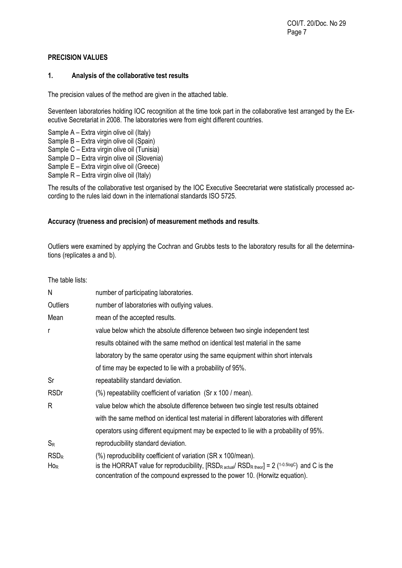## **PRECISION VALUES**

### **1. Analysis of the collaborative test results**

The precision values of the method are given in the attached table.

Seventeen laboratories holding IOC recognition at the time took part in the collaborative test arranged by the Executive Secretariat in 2008. The laboratories were from eight different countries.

- Sample A Extra virgin olive oil (Italy)
- Sample B Extra virgin olive oil (Spain)
- Sample C Extra virgin olive oil (Tunisia)
- Sample D Extra virgin olive oil (Slovenia)
- Sample E Extra virgin olive oil (Greece)
- Sample R Extra virgin olive oil (Italy)

The results of the collaborative test organised by the IOC Executive Seecretariat were statistically processed according to the rules laid down in the international standards ISO 5725.

## **Accuracy (trueness and precision) of measurement methods and results**.

Outliers were examined by applying the Cochran and Grubbs tests to the laboratory results for all the determinations (replicates a and b).

The table lists:

| N                            | number of participating laboratories.                                                                                                                                                                                                                                                   |
|------------------------------|-----------------------------------------------------------------------------------------------------------------------------------------------------------------------------------------------------------------------------------------------------------------------------------------|
| Outliers                     | number of laboratories with outlying values.                                                                                                                                                                                                                                            |
| Mean                         | mean of the accepted results.                                                                                                                                                                                                                                                           |
| r                            | value below which the absolute difference between two single independent test                                                                                                                                                                                                           |
|                              | results obtained with the same method on identical test material in the same                                                                                                                                                                                                            |
|                              | laboratory by the same operator using the same equipment within short intervals                                                                                                                                                                                                         |
|                              | of time may be expected to lie with a probability of 95%.                                                                                                                                                                                                                               |
| Sr                           | repeatability standard deviation.                                                                                                                                                                                                                                                       |
| <b>RSDr</b>                  | (%) repeatability coefficient of variation (Sr x 100 / mean).                                                                                                                                                                                                                           |
| R                            | value below which the absolute difference between two single test results obtained                                                                                                                                                                                                      |
|                              | with the same method on identical test material in different laboratories with different                                                                                                                                                                                                |
|                              | operators using different equipment may be expected to lie with a probability of 95%.                                                                                                                                                                                                   |
| $S_{R}$                      | reproducibility standard deviation.                                                                                                                                                                                                                                                     |
| RSD <sub>R</sub><br>$H_{OR}$ | (%) reproducibility coefficient of variation (SR x 100/mean).<br>is the HORRAT value for reproducibility, [RSD <sub>R actual</sub> / RSD <sub>R theor</sub> ] = 2 ( <sup>1-0.5logC</sup> ) and C is the<br>concentration of the compound expressed to the power 10. (Horwitz equation). |